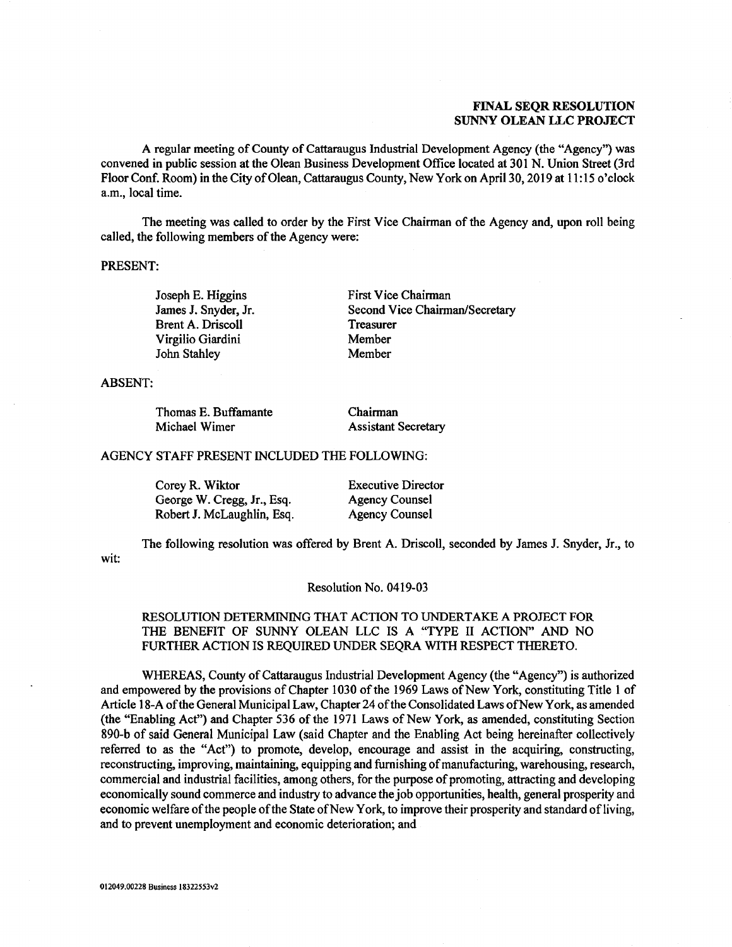## FINAL SEQR RESOLUTION **FINAL SEQR RESOLUTION**  SUNNY OLEAN LLC PROJECT **SUNNY OLEAN LLC PROJECT**

A regular meeting of County of Cattaraugus Industrial Development Agency (the "Agency") was A regular meeting of County of Cattaraugus Industrial Development Agency (the "Agency") was convened in public session at the Olean Business Development Office located at 301 N. Union Street (3rd convened in public session at the Olean Business Development Office located at 301 N. Union Street (3rd Floor Conf. Room) in the City of Olean, Cattaraugus County, New York on April 30, 2019 at 11:15 o'clock FloorConf. Room) in the City of Olean, Cattaraugus County, NewYorkon April 30, 2019 at 11:15 o'clock a.m., local time. a.m., local time.

The meeting was called to order by the First Vice Chairman of the Agency and, upon roll being The meeting was called to order by the First Vice Chairman of the Agency and, upon roll being called, the following members of the Agency were:

### PRESENT: PRESENT:

Brent A. Driscoll Treasurer V irgilio Giardini Member Virgilio Giardini John Stahley Member John Stahley Joseph E. Higgins James J. Snyder, Jr.

Joseph E. Higgins First Vice Chairman James J. Snyder, Jr. Second Vice Chairman/Secretary Treasurer Member Member

ABSENT: ABSENT:

| Thomas E. Buffamante | Chairman                   |  |
|----------------------|----------------------------|--|
| Michael Wimer        | <b>Assistant Secretary</b> |  |

### AGENCY STAFF PRESENT INCLUDED THE FOLLOWING: AGENCY STAFF PRESENT INCLUDED THE FOLLOWING:

| Corey R. Wiktor            | <b>Executive Director</b> |
|----------------------------|---------------------------|
| George W. Cregg, Jr., Esq. | <b>Agency Counsel</b>     |
| Robert J. McLaughlin, Esq. | <b>Agency Counsel</b>     |

wit: wit: The following resolution was offered by Brent A. Driscoll, seconded by James J. Snyder, Jr., to The following resolution was offered by Brent A. Driscoll, seconded by James J. Snyder, Jr., to

### Resolution No. 0419-03 Resolution No. 0419-03

## RESOLUTION DETERMINING THAT ACTION TO UNDERTAKE A PROJECT FOR RESOLUTION DETERMINING THAT ACTION TO UNDERTAKE A PROJECT FOR THE BENEFIT OF SUNNY OLEAN LLC IS A "TYPE II ACTION" AND NO THE BENEFIT OF SUNNY OLEAN LLC IS A "TYPE II ACTION" AND NO FURTHER ACTION IS REQUIRED UNDER SEQRA WITH RESPECT THERETO. FURTHER ACTION IS REQUIRED UNDER SEQRA WITH RESPECT THERETO.

WHEREAS, County of Cattaraugus Industrial Development Agency (the "Agency") is authorized WHEREAS, County of Cattaraugus Industrial Development Agency (the "Agency") is authorized and empowered by the provisions of Chapter 1030 of the 1969 Laws of New York, constituting Title 1 of and empowered by the provisions of Chapter 1030 of the 1969 Laws of New York, constituting Title 1 of Article 18-A of the General Municipal Law, Chapter 24 of the Consolidated Laws of New York, as amended (the "Enabling Act") and Chapter 536 of the 1971 Laws of New York, as amended, constituting Section (the "Enabling Act") and Chapter 536 of the 1971 Laws of New York, as amended, constituting Section 890-b of said General Municipal Law (said Chapter and the Enabling Act being hereinafter collectively 890-b of said General Municipal Law (said Chapter and the Enabling Act being hereinafter collectively referred to as the "Act") to promote, develop, encourage and assist in the acquiring, constructing, referred to as the "Act") to promote, develop, encourage and assist in the acquiring, constructing, reconstructing, improving, maintaining, equipping and furnishing of manufacturing, warehousing, research, reconstructing, improving, maintaining, equipping and furnishing of manufacturing, warehousing, research, commercial and industrial facilities, among others, for the purpose of promoting, attracting and developing commercial and industrial facilities, among others, for the purpose of promoting, attracting and developing economically sound commerce and industry to advance the job opportunities, health, general prosperity and economically sound commerce and industry to advance the job opportunities, health, general prosperity and economic welfare of the people of the State of New York, to improve their prosperity and standard of living, and to prevent unemployment and economic deterioration; and and to prevent unemployment and economic deterioration; and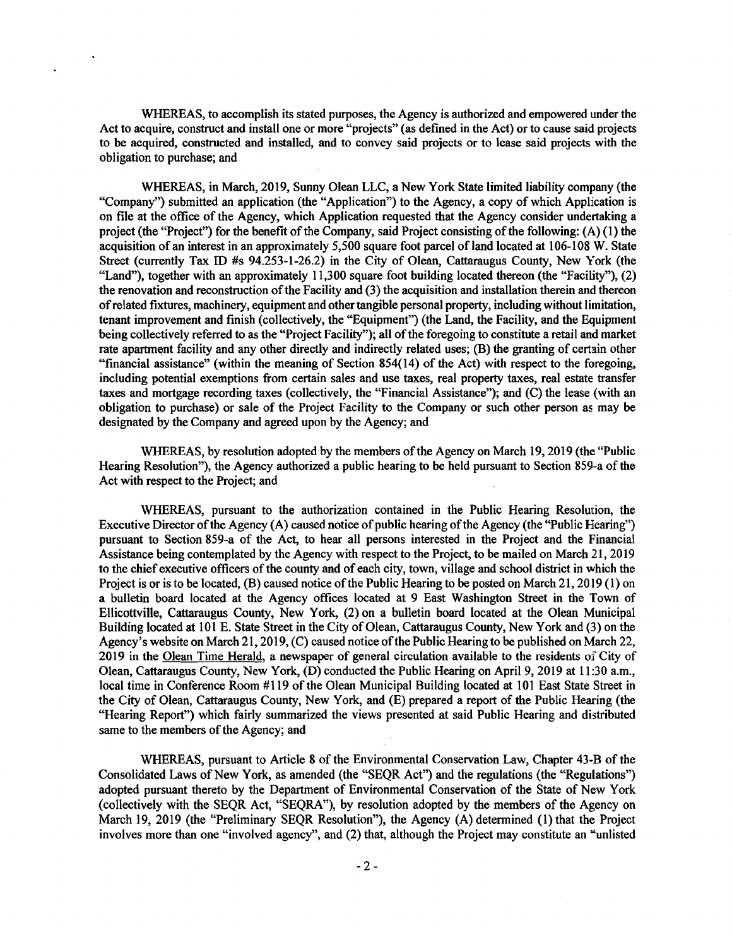WHEREAS, to accomplish its stated purposes, the Agency is authorized and empowered under the WHEREAS, to accomplish its stated purposes, the Agency is authorized and empowered under the Act to acquire, construct and install one or more "projects" (as defined in the Act) or to cause said projects Act to acquire, construct and install one or more "projects" (as defined in the Act) or to cause said projects to be acquired, constructed and installed, and to convey said projects or to lease said projects with the to be acquired, constructed and installed, and to convey said projects or to lease said projects with the obligation to purchase; and obligation to purchase; and

WHEREAS, in March, 2019, Sunny Olean LLC, a New York State limited liability company (the WHEREAS, in March, 2019, Sunny Olean LLC, a New York State limited liability company (the "Company") submitted an application (the "Application") to the Agency, a copy of which Application is on file at the office of the Agency, which Application requested that the Agency consider undertaking a project (the "Project") for the benefit of the Company, said Project consisting of the following: (A) (1) the project (the "Project") for the benefit of the Company, said Project consisting of the following: (A) (1) the acquisition of an interest in an approximately 5,500 square foot parcel of land located at 106-108 W. State acquisition of an interest in an approximately 5,500 square foot parcel of land located at 106-108 W. State Street (currently Tax ID #s 94.253-1-26.2) in the City of Olean, Cattaraugus County, New York (the Street (currently Tax ID #s 94.253-1-26.2) in the City of Olean, Cattaraugus County, New York (the "Land"), together with an approximately 11,300 square foot building located thereon (the "Facility"), (2) "Land"), together with an approximately 11,300 square foot building located thereon (the "Facility"), (2) the renovation and reconstruction of the Facility and (3) the acquisition and installation therein and thereon the renovation and reconstruction of the Facility and (3) the acquisition and installation therein and thereon of related fixtures, machinery, equipment and other tangible personal property, including without limitation, of related fixtures, machinery, equipment and other tangible personal property, including without limitation, tenant improvement and finish (collectively, the "Equipment") (the Land, the Facility, and the Equipment tenant improvement and finish (collectively, the "Equipment") (the Land, the Facility, and the Equipment being collectively referred to as the "Project Facility"); all of the foregoing to constitute a retail and market rate apartment facility and any other directly and indirectly related uses; (B) the granting of certain other "financial assistance" (within the meaning of Section 854(14) of the Act) with respect to the foregoing, "financial assistance" (within the meaning of Section 854(14) of the Act) with respect to the foregoing, including potential exemptions from certain sales and use taxes, real property taxes, real estate transfer including potential exemptions from certain sales and use taxes, real property taxes, real estate transfer taxes and mortgage recording taxes (collectively, the "Financial Assistance"); and (C) the lease (with an taxes and mortgage recording taxes (collectively, the "Financial Assistance"); and (C) the lease (with an obligation to purchase) or sale of the Project Facility to the Company or such other person as may be designated by the Company and agreed upon by the Agency; and designated by the Company and agreed upon by the Agency; and

WHEREAS, by resolution adopted by the members of the Agency on March 19, 2019 (the "Public WHEREAS, by resolution adopted by the members of the Agency on March 19, 2019 (the "Public Hearing Resolution"), the Agency authorized a public hearing to be held pursuant to Section 859-a of the Hearing Resolution"), the Agency authorized a public hearing to be held pursuant to Section 859-a of the Act with respect to the Project; and Act with respect to the Project; and

WHEREAS, pursuant to the authorization contained in the Public Hearing Resolution, the Executive Director of the Agency (A) caused notice of public hearing of the Agency (the "Public Hearing") Executive Director of the Agency (A) caused notice of public hearing of the Agency (the "Public Hearing") pursuant to Section 859-a of the Act, to hear all persons interested in the Project and the Financial pursuant to Section 859-a of the Act, to hear all persons interested in the Project and the Financial Assistance being contemplated by the Agency with respect to the Project, to be mailed on March 21, 2019 Assistance being contemplated by the Agency with respect to the Project, to be mailed on March 21, 2019 to the chief executive officers of the county and of each city, town, village and school district in which the to the chief executive officers of the county and of each city, town, village and school district in which the Project is or is to be located, (B) caused notice of the Public Hearing to be posted on March 21, 2019 (1) on Project is or is to be located, (B) caused notice of the Public Hearing to be posted on March 21, 2019 ( 1) on a bulletin board located at the Agency offices located at 9 East Washington Street in the Town of a bulletin board located at the Agency offices located at 9 East Washington Street in the Town of Ellicottville, Cattaraugus County, New York, (2) on a bulletin board located at the Olean Municipal Ellicottville, Cattaraugus County, New York, (2) on a bulletin board located at the Olean Municipal Building located at 101 E. State Street in the City of Olean, Cattaraugus County, New York and (3) on the Building located at 101 E. State Street in the City of Olean, Cattaraugus County, New York and (3) on the Agency's website on March 21, 2019, (C) caused notice of the Public Hearing to be published on March 22, Agency's website on March 21, 2019, (C) caused notice of the Public Hearing to be published on March 22, 2019 in the Olean Time Herald, a newspaper of general circulation available to the residents of City of 2019 in the Olean Time Herald, a newspaper of general circulation available to the residents of City of Olean, Cattaraugus County, New York, (D) conducted the Public Hearing on April 9, 2019 at 11:30 a.m., Olean, Cattaraugus County, New York, (D) conducted the Public Hearing on April 9, 2019 at 11:30 a.m., local time in Conference Room #119 of the Olean Municipal Building located at 101 East State Street in local time in Conference Room #119 of the Olean Municipal Building located at 101 East State Street in the City of Olean, Cattaraugus County, New York, and (E) prepared a report of the Public Hearing (the the City of Olean, Cattaraugus County, New York, and (E) prepared a report of the Public Hearing (the "Hearing Report") which fairly summarized the views presented at said Public Hearing and distributed "Hearing Report") which fairly summarized the views presented at said Public Hearing and di5tributed same to the members of the Agency; and

WHEREAS, pursuant to Article 8 of the Environmental Conservation Law, Chapter 43-B of the WHEREAS, pursuant to Article 8 of the Environmental Conservation Law, Chapter 43-B of the Consolidated Laws of New York, as amended (the "SEQR Act") and the regulations (the "Regulations") Consolidated Laws of New York, as amended (the "SEQR Act") and the regulations (the "Regulations") adopted pursuant thereto by the Department of Environmental Conservation of the State of New York adopted pursuant thereto by the Department of Environmental Conservation of the State of New York (collectively with the SEQR Act, "SEQRA"), by resolution adopted by the members of the Agency on (collectively with the SEQR Act, "SEQRA"), by resolution adopted by the members of the Agency on March 19, 2019 (the "Preliminary SEQR Resolution"), the Agency (A) determined (1) that the Project March 19, 2019 (the "Preliminary SEQR Resolution"), the Agency (A) determined (1) that the Project involves more than one "involved agency", and (2) that, although the Project may constitute an "unlisted involves more than one "involved agency", and (2) that, although the Project may constitute an "unlisted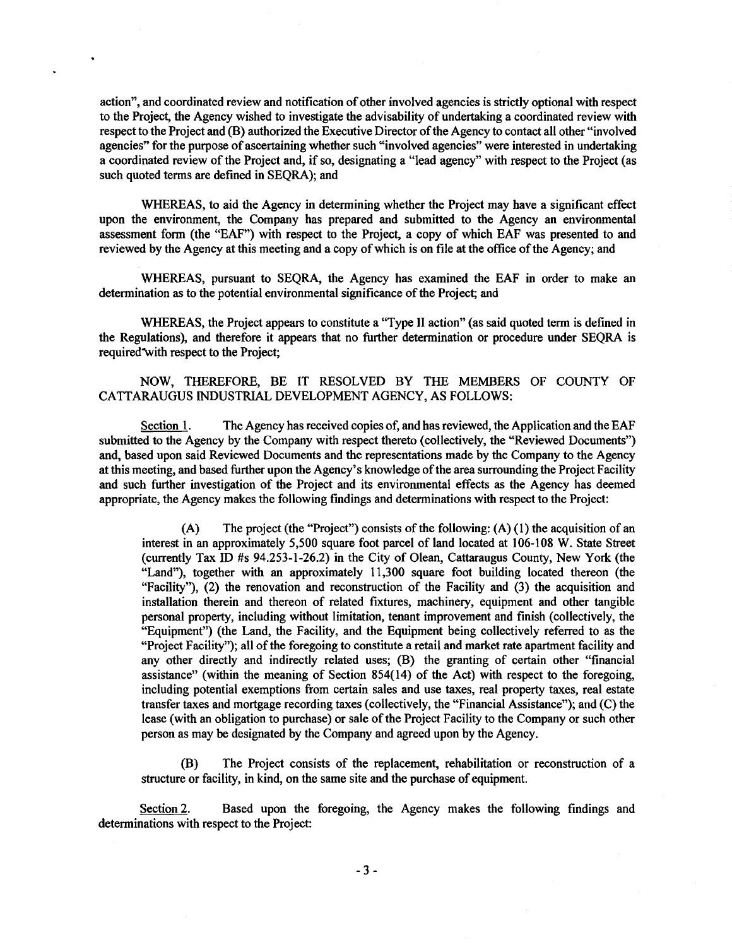action", and coordinated review and notification of other involved agencies is strictly optional with respect action", and coordinated review and notification of other involved agencies is strictly optional with respect to the Project, the Agency wished to investigate the advisability of undertaking a coordinated review with to the Project, the Agency wished to investigate the advisability of undertaking a coordinated review with respect to the Project and (B) authorized the Executive Director of the Agency to contact all other "involved respect to the Project and (B) authorized the Executive Director of the Agency to contact all other "involved agencies" for the purpose of ascertaining whether such "involved agencies" were interested in undertaking agencies" for the purpose of ascertaining whether such "involved agencies" were interested in undertaking a coordinated review of the Project and, if so, designating a "lead agency" with respect to the Project (as a coordinated review of the Project and, if so, designating a "lead agency" with respect to the Project ( as such quoted terms are defined in SEQRA); and

 $\bullet$ 

WHEREAS, to aid the Agency in determining whether the Project may have a significant effect WHEREAS, to aid the Agency in determining whether the Project may have a significant effect upon the environment, the Company has prepared and submitted to the Agency an environmental upon the environment, the Company has prepared and submitted to the Agency an environmental assessment form (the "EAF") with respect to the Project, a copy of which EAF was presented to and assessment form (the "EAF") with respect to the Project, a copy of which EAF was presented to and reviewed by the Agency at this meeting and a copy of which is on file at the office of the Agency; and

WHEREAS, pursuant to SEQRA, the Agency has examined the EAF in order to make an WHEREAS, pursuant to SEQRA, the Agency has examined the EAF in order to make an determination as to the potential environmental significance of the Project; and determination as to the potential environmental significance of the Project; and

WHEREAS, the Project appears to constitute a "Type II action" (as said quoted term is defined in WHEREAS, the Project appears to constitute a "Type II action" (as said quoted term is defined in the Regulations), and therefore it appears that no further determination or procedure under SEQRA is the Regulations), and therefore it appears that no further determination or procedure under SEQRA is required with respect to the Project;

NOW, THEREFORE, BE IT RESOLVED BY THE MEMBERS OF COUNTY OF NOW, THEREFORE, BE IT RESOLVED BY THE MEMBERS OF COUNTY OF CATTARAUGUS INDUSTRIAL DEVELOPMENT AGENCY, AS FOLLOWS: CATTARAUGUS INDUSTRIAL DEVELOPMENT AGENCY, AS FOLLOWS:

Section 1. The Agency has received copies of, and has reviewed, the Application and the EAF submitted to the Agency by the Company with respect thereto (collectively, the "Reviewed Documents") submitted to the Agency by the Company with respect thereto (collectively, the "Reviewed Documents") and, based upon said Reviewed Documents and the representations made by the Company to the Agency and, based upon said Reviewed Documents and the representations made by the Company to the Agency at this meeting, and based further upon the Agency's knowledge of the area surrounding the Project Facility at this meeting, and based further upon the Agency's knowledge of the area surrounding the Project Facility and such further investigation of the Project and its environmental effects as the Agency has deemed and such further investigation of the Project and its environmental effects as the Agency has deemed appropriate, the Agency makes the following findings and determinations with respect to the Project: appropriate, the Agency makes the following findings and determinations with respect to the Project:

(A) The project (the "Project") consists of the following:  $(A)$  (1) the acquisition of an interest in an approximately 5,500 square foot parcel of land located at 106-108 W. State Street interest in an approximately 5,500 square foot parcel of land located at **l** 06-108 W. State Street (currently Tax ID #s 94.253-1-26.2) in the City of Olean, Cattaraugus County, New York (the (currently Tax ID #s 94.253-1-26.2) in the City of Olean, Cattaraugus County, New York (the "Land"), together with an approximately 11,300 square foot building located thereon (the "Land"), together with an approximately 11,300 square foot building located thereon (the "Facility"), (2) the renovation and reconstruction of the Facility and (3) the acquisition and "Facility"), (2) the renovation and reconstruction of the Facility and (3) the acquisition and installation therein and thereon of related fixtures, machinery, equipment and other tangible installation therein and thereon of related fixtures, machinery, equipment and other tangible personal property, including without limitation, tenant improvement and finish (collectively, the personal property, including without limitation, tenant improvement and finish (collectively, the "Equipment") (the Land, the Facility, and the Equipment being collectively referred to as the "Equipment") (the Land, the Facility, and the Equipment being collectively referred to as the "Project Facility"); all of the foregoing to constitute a retail and market rate apartment facility and "Project Facility"); all of the foregoing to constitute a retail and market rate apartment facility and any other directly and indirectly related uses; (B) the granting of certain other "financial assistance" (within the meaning of Section 854(14) of the Act) with respect to the foregoing, assistance" (within the meaning of Section 854(14) of the Act) with respect to the foregoing, including potential exemptions from certain sales and use taxes, real property taxes, real estate including potential exemptions from certain sales and use taxes, real property taxes, real estate transfer taxes and mortgage recording taxes (collectively, the "Financial Assistance"); and (C) the transfer taxes and mortgage recording taxes (collectively, the "Financial Assistance"); and (C) the lease (with an obligation to purchase) or sale of the Project Facility to the Company or such other lease (with an obligation to purchase) or sale of the Project Facility to the Company or such other person as may be designated by the Company and agreed upon by the Agency. person as may be designated by the Company and agreed upon by the Agency.

(B) The Project consists of the replacement, rehabilitation or reconstruction of a (B) The Project consists of the replacement, rehabilitation or reconstruction of a structure or facility, in kind, on the same site and the purchase of equipment. structure or facility, in kind, on the same site and the purchase of equipment.

Section 2. Based upon the foregoing, the Agency makes the following findings and determinations with respect to the Project: determinations with respect to the Project: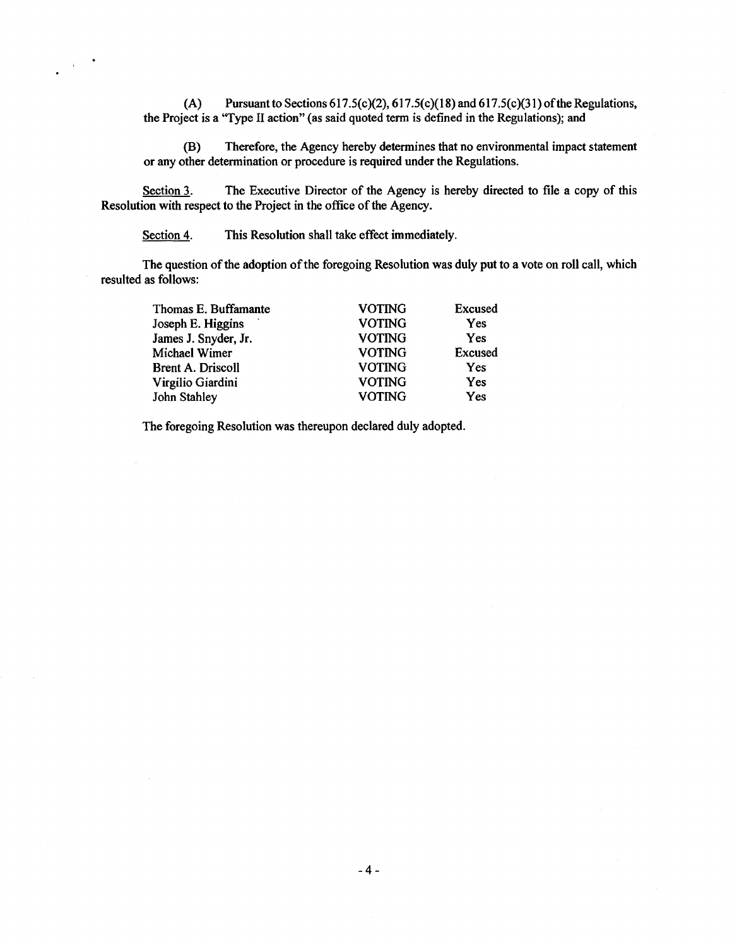(A) Pursuant to Sections 617.5(c)(2), 617.5(c)(18) and 617.5(c)(31) of the Regulations, the Project is a "Type II action" (as said quoted term is defined in the Regulations); and the Project is a "Type II action" (as said quoted term is defined in the Regulations); and

(B) Therefore, the Agency hereby determines that no environmental impact statement (B) Therefore, the Agency hereby determines that no environmental impact statement or any other determination or procedure is required under the Regulations. or any other determination or procedure is required under the Regulations.

Section 3. The Executive Director of the Agency is hereby directed to file a copy of this Resolution with respect to the Project in the office of the Agency. Resolution with respect to the Project in the office of the Agency.

Section 4. This Resolution shall take effect immediately.

 $\sim$ 

The question of the adoption of the foregoing Resolution was duly put to a vote on roll call, which The question of the adoption of the foregoing Resolution was duly put to a vote on roll call, which resulted as follows: resulted as follows:

| Thomas E. Buffamante     | <b>VOTING</b> | <b>Excused</b> |
|--------------------------|---------------|----------------|
| Joseph E. Higgins        | <b>VOTING</b> | Yes            |
| James J. Snyder, Jr.     | <b>VOTING</b> | Yes            |
| Michael Wimer            | <b>VOTING</b> | Excused        |
| <b>Brent A. Driscoll</b> | <b>VOTING</b> | Yes            |
| Virgilio Giardini        | <b>VOTING</b> | Yes            |
| John Stahley             | <b>VOTING</b> | Yes            |
|                          |               |                |

The foregoing Resolution was thereupon declared duly adopted. The foregoing Resolution was thereupon declared duly adopted.